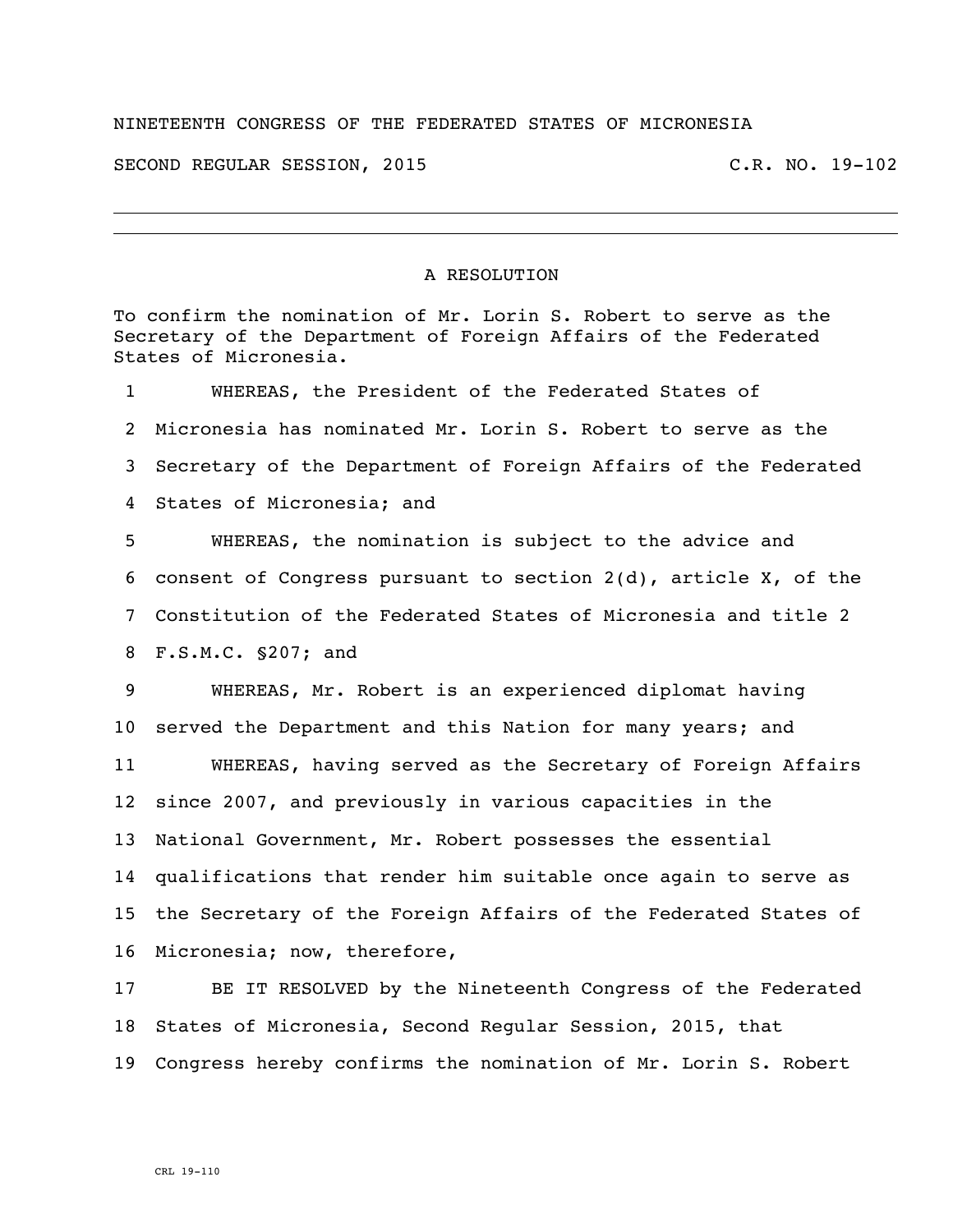## NINETEENTH CONGRESS OF THE FEDERATED STATES OF MICRONESIA

SECOND REGULAR SESSION, 2015 C.R. NO. 19-102

## A RESOLUTION

To confirm the nomination of Mr. Lorin S. Robert to serve as the Secretary of the Department of Foreign Affairs of the Federated States of Micronesia.

 WHEREAS, the President of the Federated States of Micronesia has nominated Mr. Lorin S. Robert to serve as the Secretary of the Department of Foreign Affairs of the Federated States of Micronesia; and

 WHEREAS, the nomination is subject to the advice and consent of Congress pursuant to section 2(d), article X, of the Constitution of the Federated States of Micronesia and title 2 F.S.M.C. §207; and

 WHEREAS, Mr. Robert is an experienced diplomat having served the Department and this Nation for many years; and WHEREAS, having served as the Secretary of Foreign Affairs since 2007, and previously in various capacities in the National Government, Mr. Robert possesses the essential qualifications that render him suitable once again to serve as the Secretary of the Foreign Affairs of the Federated States of Micronesia; now, therefore,

 BE IT RESOLVED by the Nineteenth Congress of the Federated States of Micronesia, Second Regular Session, 2015, that Congress hereby confirms the nomination of Mr. Lorin S. Robert